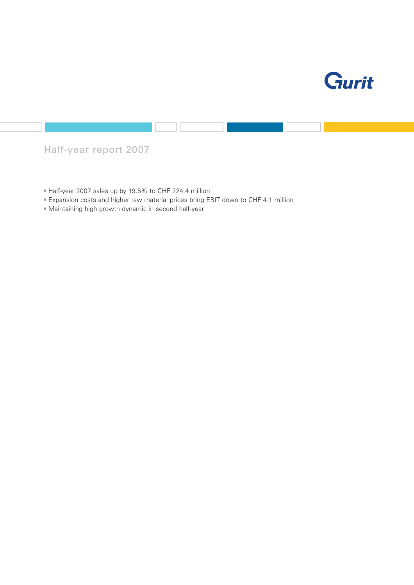

## Half-year report 2007

- Half-year 2007 sales up by 19.5% to CHF 224.4 million
- Expansion costs and higher raw material prices bring EBIT down to CHF 4.1 million
- Maintaining high growth dynamic in second half-year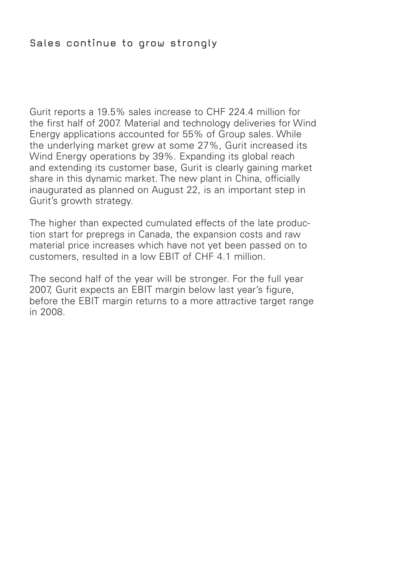### Sales continue to grow strongly

Gurit reports a 19.5% sales increase to CHF 224.4 million for the first half of 2007. Material and technology deliveries for Wind Energy applications accounted for 55% of Group sales. While the underlying market grew at some 27%, Gurit increased its Wind Energy operations by 39%. Expanding its global reach and extending its customer base, Gurit is clearly gaining market share in this dynamic market. The new plant in China, officially inaugurated as planned on August 22, is an important step in Gurit's growth strategy.

The higher than expected cumulated effects of the late production start for prepregs in Canada, the expansion costs and raw material price increases which have not yet been passed on to customers, resulted in a low EBIT of CHF 4.1 million.

The second half of the year will be stronger. For the full year 2007, Gurit expects an EBIT margin below last year's figure, before the EBIT margin returns to a more attractive target range in 2008.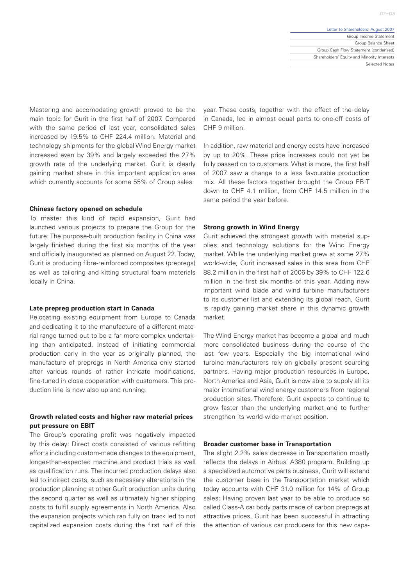Mastering and accomodating growth proved to be the main topic for Gurit in the first half of 2007. Compared with the same period of last year, consolidated sales increased by 19.5% to CHF 224.4 million. Material and technology shipments for the global Wind Energy market increased even by 39% and largely exceeded the 27% growth rate of the underlying market. Gurit is clearly gaining market share in this important application area which currently accounts for some 55% of Group sales.

#### **Chinese factory opened on schedule**

To master this kind of rapid expansion, Gurit had launched various projects to prepare the Group for the future: The purpose-built production facility in China was largely finished during the first six months of the year and officially inaugurated as planned on August 22. Today, Gurit is producing fibre-reinforced composites (prepregs) as well as tailoring and kitting structural foam materials locally in China.

#### **Late prepreg production start in Canada**

Relocating existing equipment from Europe to Canada and dedicating it to the manufacture of a different material range turned out to be a far more complex undertaking than anticipated. Instead of initiating commercial production early in the year as originally planned, the manufacture of prepregs in North America only started after various rounds of rather intricate modifications, fine-tuned in close cooperation with customers. This production line is now also up and running.

#### **Growth related costs and higher raw material prices put pressure on EBIT**

The Group's operating profit was negatively impacted by this delay: Direct costs consisted of various refitting efforts including custom-made changes to the equipment, longer-than-expected machine and product trials as well as qualification runs. The incurred production delays also led to indirect costs, such as necessary alterations in the production planning at other Gurit production units during the second quarter as well as ultimately higher shipping costs to fulfil supply agreements in North America. Also the expansion projects which ran fully on track led to not capitalized expansion costs during the first half of this year. These costs, together with the effect of the delay in Canada, led in almost equal parts to one-off costs of CHF 9 million.

In addition, raw material and energy costs have increased by up to 20%. These price increases could not yet be fully passed on to customers. What is more, the first half of 2007 saw a change to a less favourable production mix. All these factors together brought the Group EBIT down to CHF 4.1 million, from CHF 14.5 million in the same period the year before.

#### **Strong growth in Wind Energy**

Gurit achieved the strongest growth with material supplies and technology solutions for the Wind Energy market. While the underlying market grew at some 27% world-wide, Gurit increased sales in this area from CHF 88.2 million in the first half of 2006 by 39% to CHF 122.6 million in the first six months of this year. Adding new important wind blade and wind turbine manufacturers to its customer list and extending its global reach, Gurit is rapidly gaining market share in this dynamic growth market.

The Wind Energy market has become a global and much more consolidated business during the course of the last few years. Especially the big international wind turbine manufacturers rely on globally present sourcing partners. Having major production resources in Europe, North America and Asia, Gurit is now able to supply all its major international wind energy customers from regional production sites. Therefore, Gurit expects to continue to grow faster than the underlying market and to further strengthen its world-wide market position.

#### **Broader customer base in Transportation**

The slight 2.2% sales decrease in Transportation mostly reflects the delays in Airbus' A380 program. Building up a specialized automotive parts business, Gurit will extend the customer base in the Transportation market which today accounts with CHF 31.0 million for 14% of Group sales: Having proven last year to be able to produce so called Class-A car body parts made of carbon prepregs at attractive prices, Gurit has been successful in attracting the attention of various car producers for this new capa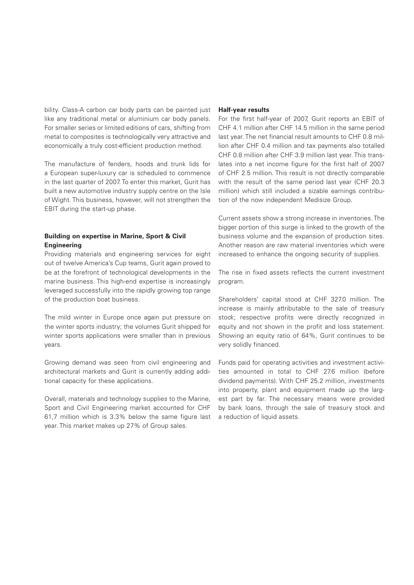bility. Class-A carbon car body parts can be painted just like any traditional metal or aluminium car body panels. For smaller series or limited editions of cars, shifting from metal to composites is technologically very attractive and economically a truly cost-efficient production method.

The manufacture of fenders, hoods and trunk lids for a European super-luxury car is scheduled to commence in the last quarter of 2007. To enter this market, Gurit has built a new automotive industry supply centre on the Isle of Wight. This business, however, will not strengthen the EBIT during the start-up phase.

#### **Building on expertise in Marine, Sport & Civil Engineering**

Providing materials and engineering services for eight out of twelve America's Cup teams, Gurit again proved to be at the forefront of technological developments in the marine business. This high-end expertise is increasingly leveraged successfully into the rapidly growing top range of the production boat business.

The mild winter in Europe once again put pressure on the winter sports industry; the volumes Gurit shipped for winter sports applications were smaller than in previous years.

Growing demand was seen from civil engineering and architectural markets and Gurit is currently adding additional capacity for these applications.

Overall, materials and technology supplies to the Marine, Sport and Civil Engineering market accounted for CHF 61,7 million which is 3.3% below the same figure last year. This market makes up 27% of Group sales.

#### **Half-year results**

For the first half-year of 2007, Gurit reports an EBIT of CHF 4.1 million after CHF 14.5 million in the same period last year. The net financial result amounts to CHF 0.8 million after CHF 0.4 million and tax payments also totalled CHF 0.8 million after CHF 3.9 million last year. This translates into a net income figure for the first half of 2007 of CHF 2.5 million. This result is not directly comparable with the result of the same period last year (CHF 20.3 million) which still included a sizable earnings contribution of the now independent Medisize Group.

Current assets show a strong increase in inventories. The bigger portion of this surge is linked to the growth of the business volume and the expansion of production sites. Another reason are raw material inventories which were increased to enhance the ongoing security of supplies.

The rise in fixed assets reflects the current investment program.

Shareholders' capital stood at CHF 327.0 million. The increase is mainly attributable to the sale of treasury stock; respective profits were directly recognized in equity and not shown in the profit and loss statement. Showing an equity ratio of 64%, Gurit continues to be very solidly financed.

Funds paid for operating activities and investment activities amounted in total to CHF 27.6 million (before dividend payments). With CHF 25.2 million, investments into property, plant and equipment made up the largest part by far. The necessary means were provided by bank loans, through the sale of treasury stock and a reduction of liquid assets.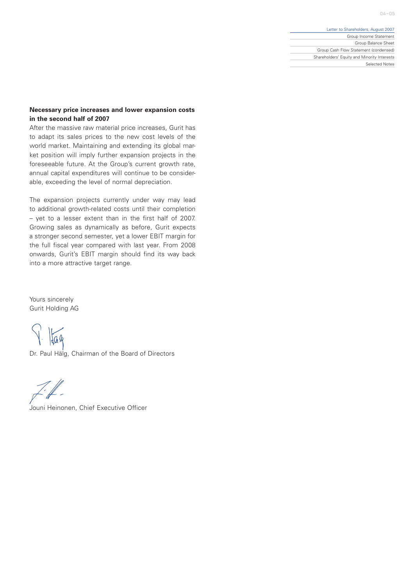$04 - 05$ 

#### Letter to Shareholders, August 2007

Group Income Statement Group Balance Sheet Group Cash Flow Statement (condensed) Shareholders' Equity and Minority Interests Selected Notes

### **Necessary price increases and lower expansion costs in the second half of 2007**

After the massive raw material price increases, Gurit has to adapt its sales prices to the new cost levels of the world market. Maintaining and extending its global market position will imply further expansion projects in the foreseeable future. At the Group's current growth rate, annual capital expenditures will continue to be considerable, exceeding the level of normal depreciation.

The expansion projects currently under way may lead to additional growth-related costs until their completion – yet to a lesser extent than in the first half of 2007. Growing sales as dynamically as before, Gurit expects a stronger second semester, yet a lower EBIT margin for the full fiscal year compared with last year. From 2008 onwards, Gurit's EBIT margin should find its way back into a more attractive target range.

Yours sincerely Gurit Holding AG

Jag

Dr. Paul Hälg, Chairman of the Board of Directors

Z: ff –

Jouni Heinonen, Chief Executive Officer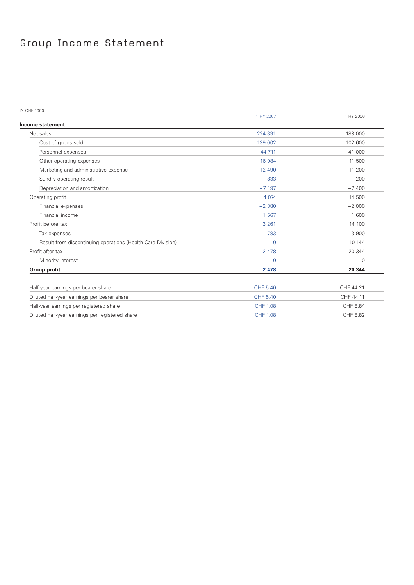# Group Income Statement

IN CHF 1000

|                                                             | 1 HY 2007       | 1 HY 2006   |
|-------------------------------------------------------------|-----------------|-------------|
| Income statement                                            |                 |             |
| Net sales                                                   | 224 391         | 188 000     |
| Cost of goods sold                                          | $-139002$       | $-102600$   |
| Personnel expenses                                          | $-44711$        | $-41000$    |
| Other operating expenses                                    | $-16084$        | $-11500$    |
| Marketing and administrative expense                        | $-12490$        | $-11,200$   |
| Sundry operating result                                     | $-833$          | 200         |
| Depreciation and amortization                               | $-7197$         | $-7400$     |
| Operating profit                                            | 4 0 7 4         | 14 500      |
| Financial expenses                                          | $-2380$         | $-2000$     |
| Financial income                                            | 1 5 6 7         | 1 600       |
| Profit before tax                                           | 3 2 6 1         | 14 100      |
| Tax expenses                                                | $-783$          | $-3900$     |
| Result from discontinuing operations (Health Care Division) | $\Omega$        | 10 144      |
| Profit after tax                                            | 2 4 7 8         | 20 344      |
| Minority interest                                           | 0               | $\mathbf 0$ |
| <b>Group profit</b>                                         | 2 4 7 8         | 20 344      |
| Half-year earnings per bearer share                         | CHF 5.40        | CHF 44.21   |
| Diluted half-year earnings per bearer share                 | CHF 5.40        | CHF 44.11   |
| Half-year earnings per registered share                     | <b>CHF 1.08</b> | CHF 8.84    |
| Diluted half-year earnings per registered share             | <b>CHF 1.08</b> | CHF 8.82    |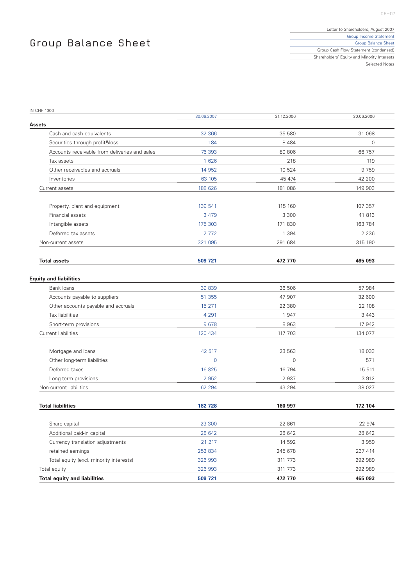# Group Balance Sheet

| Letter to Shareholders, August 2007         |
|---------------------------------------------|
| Group Income Statement                      |
| Group Balance Sheet                         |
| Group Cash Flow Statement (condensed)       |
| Shareholders' Equity and Minority Interests |
| Selected Notes                              |

| <b>IN CHF 1000</b>                            |                |              |             |
|-----------------------------------------------|----------------|--------------|-------------|
| Assets                                        | 30.06.2007     | 31.12.2006   | 30.06.2006  |
| Cash and cash equivalents                     | 32 366         | 35 580       | 31 068      |
| Securities through profit&loss                | 184            | 8 4 8 4      | $\mathbf 0$ |
| Accounts receivable from deliveries and sales | 76 393         | 80 80 6      | 66 757      |
| Tax assets                                    | 1 6 2 6        | 218          | 119         |
| Other receivables and accruals                | 14 9 52        | 10 524       | 9 7 5 9     |
| Inventories                                   | 63 105         | 45 474       | 42 200      |
| Current assets                                | 188 626        | 181 086      | 149 903     |
| Property, plant and equipment                 | 139 541        | 115 160      | 107 357     |
| Financial assets                              | 3 4 7 9        | 3 3 0 0      | 41 813      |
| Intangible assets                             | 175 303        | 171 830      | 163 784     |
| Deferred tax assets                           | 2 7 7 2        | 1 3 9 4      | 2 2 3 6     |
| Non-current assets                            | 321 095        | 291 684      | 315 190     |
|                                               |                |              |             |
| <b>Total assets</b>                           | 509 721        | 472 770      | 465 093     |
| <b>Equity and liabilities</b>                 |                |              |             |
| Bank loans                                    | 39 839         | 36 506       | 57 984      |
| Accounts payable to suppliers                 | 51 355         | 47 907       | 32 600      |
| Other accounts payable and accruals           | 15 271         | 22 380       | 22 108      |
| Tax liabilities                               | 4 2 9 1        | 1 947        | 3 4 4 3     |
| Short-term provisions                         | 9678           | 8 9 6 3      | 17 942      |
| Current liabilities                           | 120 434        | 117 703      | 134 077     |
| Mortgage and loans                            | 42 517         | 23 563       | 18 033      |
| Other long-term liabilities                   | $\overline{0}$ | $\mathbf{0}$ | 571         |
| Deferred taxes                                | 16825          | 16 794       | 15 511      |
| Long-term provisions                          | 2 9 5 2        | 2 9 3 7      | 3 9 1 2     |
| Non-current liabilities                       | 62 294         | 43 294       | 38 027      |
| <b>Total liabilities</b>                      | 182 728        | 160 997      | 172 104     |
|                                               |                |              |             |
| Share capital                                 | 23 300         | 22 861       | 22 974      |
| Additional paid-in capital                    | 28 642         | 28 642       | 28 642      |
| Currency translation adjustments              | 21 217         | 14 592       | 3 9 5 9     |
| retained earnings                             | 253 834        | 245 678      | 237 414     |
| Total equity (excl. minority interests)       | 326 993        | 311 773      | 292 989     |
| Total equity                                  | 326 993        | 311 773      | 292 989     |
| <b>Total equity and liabilities</b>           | 509 721        | 472 770      | 465 093     |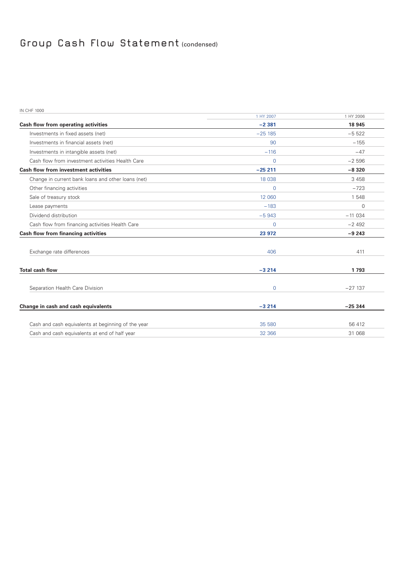## Group Cash Flow Statement (condensed)

| <b>IN CHF 1000</b>                                 |                |             |
|----------------------------------------------------|----------------|-------------|
|                                                    | 1 HY 2007      | 1 HY 2006   |
| Cash flow from operating activities                | $-2381$        | 18 945      |
| Investments in fixed assets (net)                  | $-25185$       | $-5522$     |
| Investments in financial assets (net)              | 90             | $-155$      |
| Investments in intangible assets (net)             | $-116$         | $-47$       |
| Cash flow from investment activities Health Care   | $\overline{0}$ | $-2596$     |
| <b>Cash flow from investment activities</b>        | $-25211$       | $-8320$     |
| Change in current bank loans and other loans (net) | 18 038         | 3 4 5 8     |
| Other financing activities                         | $\mathbf 0$    | $-723$      |
| Sale of treasury stock                             | 12 060         | 1 548       |
| Lease payments                                     | $-183$         | $\mathbf 0$ |
| Dividend distribution                              | $-5943$        | $-11034$    |
| Cash flow from financing activities Health Care    | $\mathbf 0$    | $-2492$     |
| <b>Cash flow from financing activities</b>         | 23 972         | $-9243$     |
|                                                    |                |             |
| Exchange rate differences                          | 406            | 411         |
|                                                    |                |             |
| <b>Total cash flow</b>                             | $-3214$        | 1793        |
|                                                    |                |             |
| Separation Health Care Division                    | $\mathbf{0}$   | $-27137$    |
|                                                    |                |             |
| Change in cash and cash equivalents                | $-3214$        | $-25344$    |
|                                                    |                |             |
| Cash and cash equivalents at beginning of the year | 35 580         | 56 412      |
| Cash and cash equivalents at end of half year      | 32 366         | 31 068      |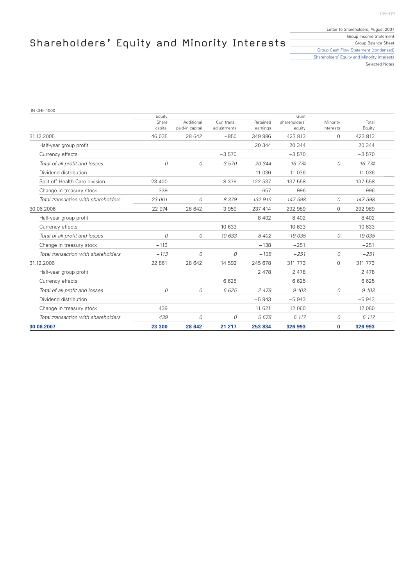08–09

# Shareholders' Equity and Minority Interests  $\overline{\phantom{a}}$

| Letter to Shareholders, August 2007         |
|---------------------------------------------|
| Group Income Statement                      |
| Group Balance Sheet                         |
| Group Cash Flow Statement (condensed)       |
| Shareholders' Equity and Minority Interests |
| Selected Notes                              |

IN CHF 1000

|                                     | Equity<br>Share | Additional      | Cur. transl. | Retained  | Gurit<br>shareholders' | Minority    | Total     |  |
|-------------------------------------|-----------------|-----------------|--------------|-----------|------------------------|-------------|-----------|--|
|                                     | capital         | paid-in capital | adjustments  | earnings  | equity                 | interests   | Equity    |  |
| 31.12.2005                          | 46 035          | 28 642          | $-850$       | 349 986   | 423 813                | $\Omega$    | 423 813   |  |
| Half-year group profit              |                 |                 |              | 20 344    | 20 344                 |             | 20 344    |  |
| Currency effects                    |                 |                 | $-3570$      |           | $-3570$                |             | $-3570$   |  |
| Total of all profit and losses      | 0               | $\Omega$        | $-3570$      | 20 344    | 16 774                 | 0           | 16 774    |  |
| Dividend distribution               |                 |                 |              | $-11036$  | $-11036$               |             | $-11036$  |  |
| Split-off Health Care division      | $-23400$        |                 | 8 3 7 9      | $-122537$ | $-137558$              |             | $-137558$ |  |
| Change in treasury stock            | 339             |                 |              | 657       | 996                    |             | 996       |  |
| Total transaction with shareholders | $-23061$        | 0               | 8379         | $-132916$ | $-147598$              | 0           | $-147598$ |  |
| 30.06.2006                          | 22 974          | 28 642          | 3 9 5 9      | 237 414   | 292 989                | $\Omega$    | 292 989   |  |
| Half-year group profit              |                 |                 |              | 8 4 0 2   | 8 4 0 2                |             | 8 4 0 2   |  |
| Currency effects                    |                 |                 | 10 633       |           | 10 633                 |             | 10 633    |  |
| Total of all profit and losses      | 0               | 0               | 10 633       | 8 4 0 2   | 19 035                 | 0           | 19 035    |  |
| Change in treasury stock            | $-113$          |                 |              | $-138$    | $-251$                 |             | $-251$    |  |
| Total transaction with shareholders | $-113$          | 0               | 0            | $-138$    | $-251$                 | 0           | $-251$    |  |
| 31.12.2006                          | 22 861          | 28 642          | 14 592       | 245 678   | 311 773                | $\mathbf 0$ | 311 773   |  |
| Half-year group profit              |                 |                 |              | 2 4 7 8   | 2 4 7 8                |             | 2 4 7 8   |  |
| Currency effects                    |                 |                 | 6 6 2 5      |           | 6 6 2 5                |             | 6 6 2 5   |  |
| Total of all profit and losses      | $\Omega$        | 0               | 6625         | 2478      | 9 103                  | $\Omega$    | 9 103     |  |
| Dividend distribution               |                 |                 |              | $-5943$   | $-5943$                |             | $-5943$   |  |
| Change in treasury stock            | 439             |                 |              | 11 621    | 12 060                 |             | 12 060    |  |
| Total transaction with shareholders | 439             | 0               | 0            | 5678      | 6 117                  | 0           | 6 117     |  |
| 30.06.2007                          | 23 300          | 28 642          | 21 217       | 253 834   | 326 993                | $\bf{0}$    | 326 993   |  |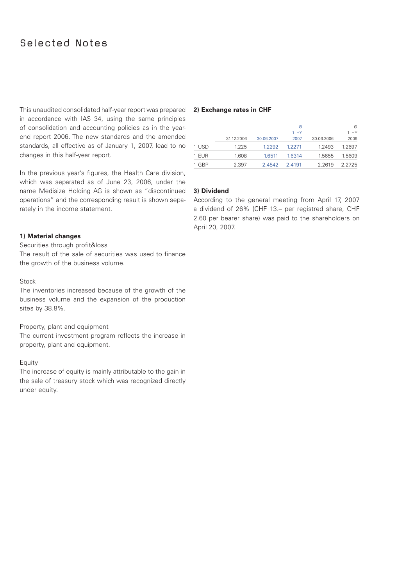### Selected Notes

This unaudited consolidated half-year report was prepared **2) Exchange rates in CHF** in accordance with IAS 34, using the same principles of consolidation and accounting policies as in the yearend report 2006. The new standards and the amended standards, all effective as of January 1, 2007, lead to no changes in this half-year report.

In the previous year's figures, the Health Care division, which was separated as of June 23, 2006, under the name Medisize Holding AG is shown as "discontinued operations" and the corresponding result is shown separately in the income statement.

#### **1) Material changes**

Securities through profit&loss

The result of the sale of securities was used to finance the growth of the business volume.

#### Stock

The inventories increased because of the growth of the business volume and the expansion of the production sites by 38.8%.

#### Property, plant and equipment

The current investment program reflects the increase in property, plant and equipment.

#### Equity

The increase of equity is mainly attributable to the gain in the sale of treasury stock which was recognized directly under equity.

|            |            | Ø      |            | Ø         |
|------------|------------|--------|------------|-----------|
|            |            | 1. HY  |            | 1. HY     |
| 31.12.2006 | 30.06.2007 | 2007   | 30.06.2006 | 2006      |
| 1.225      | 1.2292     | 12271  | 1.2493     | 1.2697    |
| 1.608      | 1.6511     | 1.6314 | 1.5655     | 1.5609    |
| 2.397      | 2.4542     | 24191  | 2.2619     | 2 2 7 2 5 |
|            |            |        |            |           |

#### **3) Dividend**

According to the general meeting from April 17, 2007 a dividend of 26% (CHF 13.– per registred share, CHF 2.60 per bearer share) was paid to the shareholders on April 20, 2007.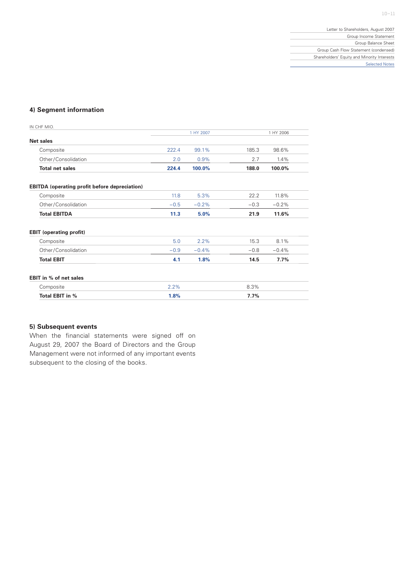#### **4) Segment information**

| IN CHF MIO.                                          |        |           |        |           |
|------------------------------------------------------|--------|-----------|--------|-----------|
|                                                      |        | 1 HY 2007 |        | 1 HY 2006 |
| <b>Net sales</b>                                     |        |           |        |           |
| Composite                                            | 222.4  | 99.1%     | 185.3  | 98.6%     |
| Other/Consolidation                                  | 2.0    | 0.9%      | 2.7    | 1.4%      |
| <b>Total net sales</b>                               | 224.4  | 100.0%    | 188.0  | 100.0%    |
| <b>EBITDA</b> (operating profit before depreciation) |        |           |        |           |
| Composite                                            | 11.8   | 5.3%      | 22.2   | 11.8%     |
| Other/Consolidation                                  | $-0.5$ | $-0.2%$   | $-0.3$ | $-0.2%$   |
| <b>Total EBITDA</b>                                  | 11.3   | 5.0%      | 21.9   | 11.6%     |
| <b>EBIT</b> (operating profit)                       |        |           |        |           |
| Composite                                            | 5.0    | 2.2%      | 15.3   | 8.1%      |
| Other/Consolidation                                  | $-0.9$ | $-0.4%$   | $-0.8$ | $-0.4%$   |
| <b>Total EBIT</b>                                    | 4.1    | 1.8%      | 14.5   | 7.7%      |
| EBIT in % of net sales                               |        |           |        |           |
| Composite                                            | 2.2%   |           | 8.3%   |           |
| Total EBIT in %                                      | 1.8%   |           | 7.7%   |           |

### **5) Subsequent events**

When the financial statements were signed off on August 29, 2007 the Board of Directors and the Group Management were not informed of any important events subsequent to the closing of the books.